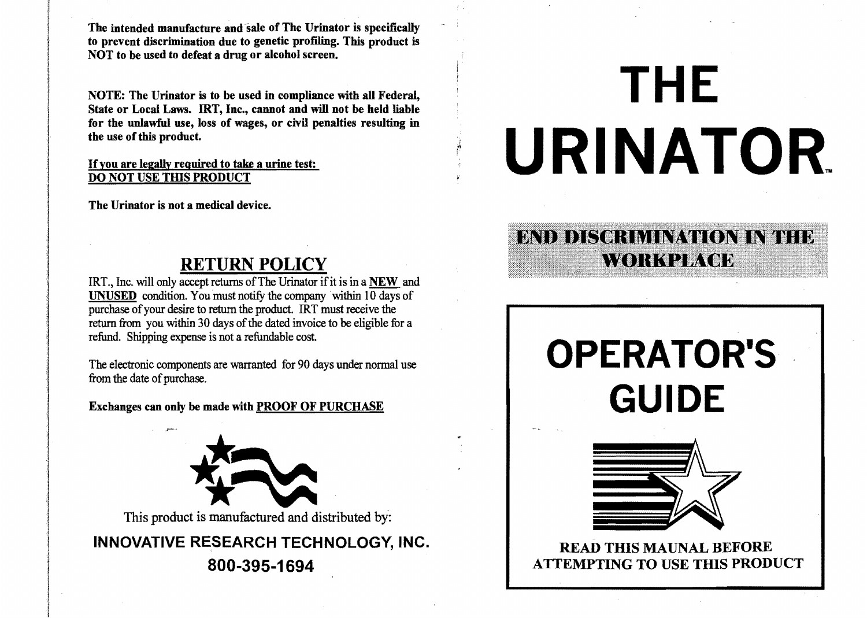The intended manufacture and sale of The Urinator is specifically to prevent discrimination due to genetic profiling. This product is NOT to be used to defeat a drug or alcohol screen.

State or Local Laws. IRT, Inc., cannot and will not be held liable for the unlawful use, loss of wages, or civil penalties resulting in the use of this product.

> $\mathcal{L}_{\mathcal{L}}$ f

If you are legally required <u>DO NOT USE THIS PRODUCT</u>

The Urinator is not a medical device.

### RETURN POLICY

IRT., Inc. will only accept returns of The Urinator if it is in a NEW and UNUSED condition. You must notify the company within 10 days of purchase of your desire to return the product. IRT must receive the return from you within 30 days of the dated invoice to be eligible for a refund. Shipping expense is not a refundable cost.

from the date of purchase.



INNOVATIVE RESEARCH TECHNOLOGY, INC. READ THIS MAUNAL BEFORE

# NOTE: The Urinator is to be used in compliance with all Federal, **THE REAL PROPERTY OF REAL PROPERTY** URINATOR.

# ENDI DISOR MINAWON INTHE **AYORKALIWYOD**

# The electronic components are warranted for 90 days under normal use  $\mathsf{OPERATOR}$ 'S Exchanges can only be made with PROOF OF PURCHASE **GUIDE**



800-395-1694 ATTEMPTING TO USE THIS PRODUCT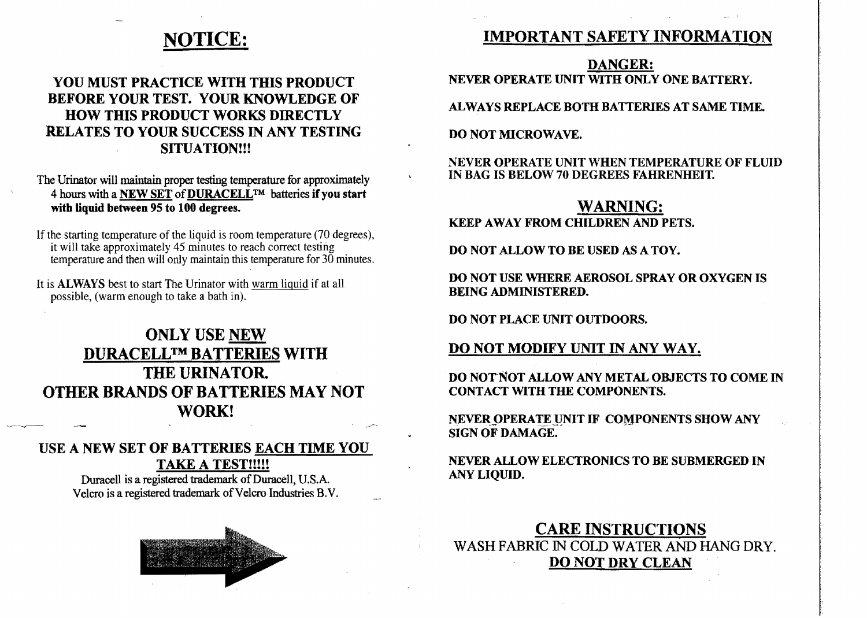## NOTICE:

#### YOU MUST PRACTICE WITH THIS PRODUCT BEFORE YOUR TEST. YOUR KNOWLEDGE OF HOW THIS PRODUCT WORKS DIRECTLY RELATES TO YOUR SUCCESS IN ANY TESTING SITUATION!!!

The Urinator will maintain proper testing temperature for approximately 4 hours with a NEW SET of DURACELL<sup>TM</sup> batteries if you start with liquid between 95 to 100 degrees.

If the starting temperature of the liquid is room temperature (70 degrees), it will take approximately 45 minutes to reach correct testing temperature and then will only maintain this temperature for 30 minutes.

It is **ALWAYS** best to start The Urinator with warm liquid if at all possible, (warm enough to take a bath in).

#### ONLY USE NEW DURACELLTM BATTERIES WITH THE URINATOR. OTHER BRANDS OF BATTERIES MAY NOT WORK!

#### USE A NEW SET OF BATTERIES EACH TIME YOU TAKE A TEST!!!!!

Duracell is a registered trademark of Duracell, U.S.A. Velcro is a registered trademark of Velcro Industries B.V.



#### IMPORTANT SAFETY INFORMATION

DANGER: NEVER OPERATE UNIT WITH ONLY ONE BATTERY.

ALWAYS REPLACE BOTH BATTERIES AT SAME TIME.

DO NOT MICROWAVE.

NEVER OPERATE UNIT WHEN TEMPERATURE OF FLUID IN BAG IS BELOW 70 DEGREES FAHRENHEIT.

# WARNING:

KEEP AWAY FROM CHILDREN AND PETS.

DO NOT ALLOW TO BE USED AS A TOY.

DO NOT USE WHERE AEROSOL SPRAY OR OXYGEN IS BEING ADMINISTERED.

DO NOT PLACE UNIT OUTDOORS.

#### DO NOT MODIFY UNIT IN ANY WAY.

DO NOT'NOT ALLOW ANY METAL OBJECTS TO COME IN CONTACT WITH THE COMPONENTS.

NEVER OPERATE UNIT IF COMPONENTS SHOW ANY SIGN OF DAMAGE.

NEVER ALLOW ELECTRONICS TO BE SUBMERGED IN ANY LIQUID.

CARE INSTRUCTIONS WASH FABRIC IN COLD WATER AND HANG DRY. DO NOT DRY CLEAN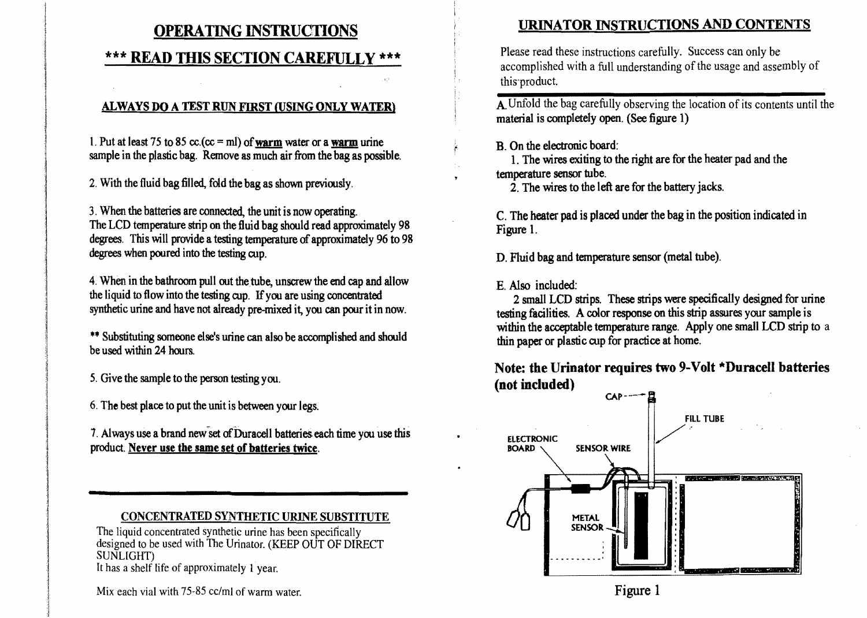#### OPERATING INSTRUCTIONS

#### \*\*\* READ THIS SECTION CAREFULLY \*\*\*

#### ALWAYS DO A TEST RUN FIRST (USING ONLY WATERl

1. Put at least 75 to 85 cc.(cc = ml) of warm water or a warm urine sample in the plastic bag. Remove as much air from the bag as possible.

2. With the fluid bag filled, fold the bag as shown previously.

3. When the batteries are connected, the unit is now operating. The LCD temperature strip on the fluid bag should read approximately 98 degrees. This will provide a testing temperature of approximately 96 to 98 degrees when poured into the testing cup.

4. When in the bathroom pull out the tube, unscrew the end cap and allow the liquid to flow into the testing cup. Ifyou are using concentrated synthetic urine and have not already pre-mixed it, you can pour it in now.

\*\* Substituting someone else's urine can also be accomplished and should be used within 24 hours.

- 5. Give the sample to the person testing you.
- 6. The best place to put the unit is between your legs.

7. Always use a brand new set of Duracell batteries each time you use this product. Never use the same set of batteries twice.

#### CONCENTRATED SYNTHETIC URINE SUBSTITUTE

The liquid concentrated synthetic urine has been specifically designed to be used with The Urinator. (KEEP OUT OF DIRECT SONLIGHT) It has a shelf life of approximately 1 year.

Mix each vial with 75-85 cc/ml of warm water.

#### URINATOR INSTRUCTIONS AND CONTENTS

Please read these instructions carefully. Success can only be accomplished with a full understanding of the usage and assembly of this'product.

A. Unfold the bag carefully observing the location of its contents until the material is completely open. (See figure 1)

#### *B.* On the electronic board:

1. The wires exiting to the right are for the heater pad and the temperature sensor tube.

2. The wires to the left are for the battery jacks.

C. The heater pad is placed under the bag in the position indicated in Figure 1.

D. Fluid bag and temperature sensor (metal tube).

E. Also included:

2 small LCD strips. These strips were specifically designed for urine testing facilities. A color response on this strip assures your sample is within the acceptable temperature range. Apply one small LCD strip to a thin paper or plastic cup for practice at borne.

Note: the Urinator requires two 9-Volt \*Duracell batteries (not included)



Figure 1